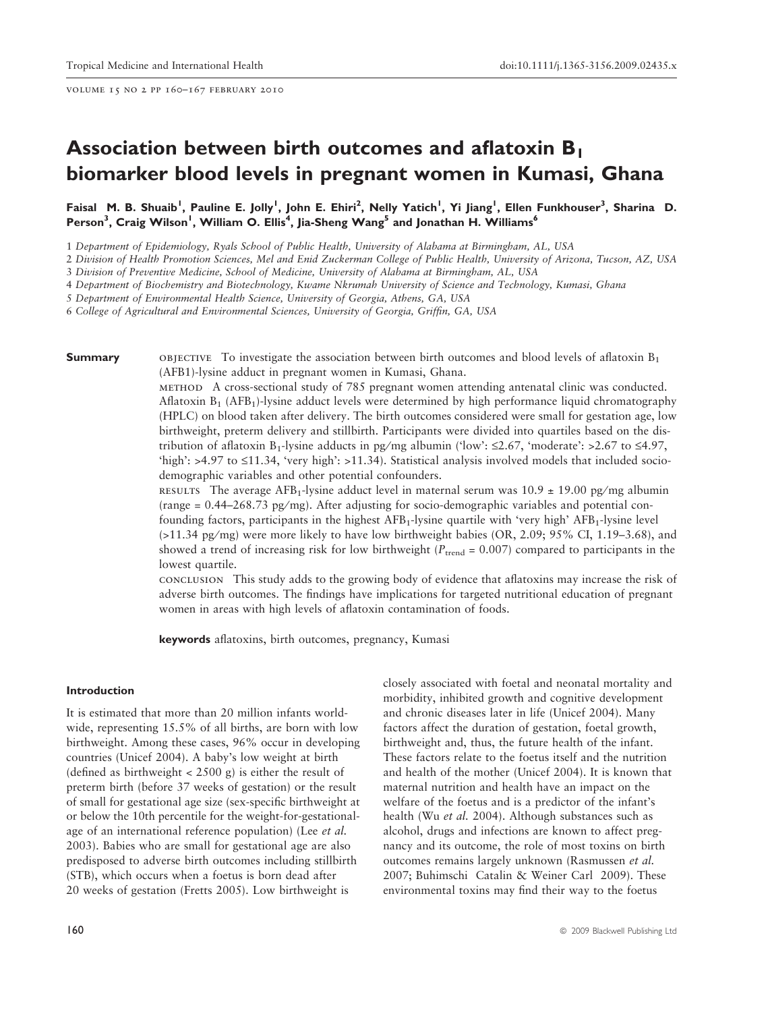volume 15 no 2 pp 160–167 february 2010

# Association between birth outcomes and aflatoxin B1 biomarker blood levels in pregnant women in Kumasi, Ghana

Faisal M. B. Shuaib<sup>1</sup>, Pauline E. Jolly<sup>1</sup>, John E. Ehiri<sup>2</sup>, Nelly Yatich<sup>1</sup>, Yi Jiang<sup>1</sup>, Ellen Funkhouser<sup>3</sup>, Sharina D. Person<sup>3</sup>, Craig Wilson<sup>1</sup>, William O. Ellis<sup>4</sup>, Jia-Sheng Wang<sup>5</sup> and Jonathan H. Williams<sup>6</sup>

1 Department of Epidemiology, Ryals School of Public Health, University of Alabama at Birmingham, AL, USA

2 Division of Health Promotion Sciences, Mel and Enid Zuckerman College of Public Health, University of Arizona, Tucson, AZ, USA

3 Division of Preventive Medicine, School of Medicine, University of Alabama at Birmingham, AL, USA

4 Department of Biochemistry and Biotechnology, Kwame Nkrumah University of Science and Technology, Kumasi, Ghana

5 Department of Environmental Health Science, University of Georgia, Athens, GA, USA

6 College of Agricultural and Environmental Sciences, University of Georgia, Griffin, GA, USA

**Summary objective** To investigate the association between birth outcomes and blood levels of aflatoxin  $B_1$ (AFB1)-lysine adduct in pregnant women in Kumasi, Ghana.

> method A cross-sectional study of 785 pregnant women attending antenatal clinic was conducted. Aflatoxin  $B_1$  (AFB<sub>1</sub>)-lysine adduct levels were determined by high performance liquid chromatography (HPLC) on blood taken after delivery. The birth outcomes considered were small for gestation age, low birthweight, preterm delivery and stillbirth. Participants were divided into quartiles based on the distribution of aflatoxin B<sub>1</sub>-lysine adducts in pg/mg albumin ('low':  $\leq 2.67$ , 'moderate': >2.67 to  $\leq 4.97$ , 'high':  $>4.97$  to  $\leq 11.34$ , 'very high':  $>11.34$ ). Statistical analysis involved models that included sociodemographic variables and other potential confounders.

> RESULTS The average AFB<sub>1</sub>-lysine adduct level in maternal serum was  $10.9 \pm 19.00$  pg/mg albumin  $\text{(range = } 0.44 - 268.73 \text{ pg/mg)}$ . After adjusting for socio-demographic variables and potential confounding factors, participants in the highest AFB<sub>1</sub>-lysine quartile with 'very high' AFB<sub>1</sub>-lysine level  $(>11.34 \text{ pg/mg})$  were more likely to have low birthweight babies  $(OR, 2.09, 95\% \text{ CI}, 1.19-3.68)$ , and showed a trend of increasing risk for low birthweight ( $P_{\text{trend}} = 0.007$ ) compared to participants in the lowest quartile.

> conclusion This study adds to the growing body of evidence that aflatoxins may increase the risk of adverse birth outcomes. The findings have implications for targeted nutritional education of pregnant women in areas with high levels of aflatoxin contamination of foods.

keywords aflatoxins, birth outcomes, pregnancy, Kumasi

#### Introduction

It is estimated that more than 20 million infants worldwide, representing 15.5% of all births, are born with low birthweight. Among these cases, 96% occur in developing countries (Unicef 2004). A baby's low weight at birth (defined as birthweight  $<$  2500 g) is either the result of preterm birth (before 37 weeks of gestation) or the result of small for gestational age size (sex-specific birthweight at or below the 10th percentile for the weight-for-gestationalage of an international reference population) (Lee et al. 2003). Babies who are small for gestational age are also predisposed to adverse birth outcomes including stillbirth (STB), which occurs when a foetus is born dead after 20 weeks of gestation (Fretts 2005). Low birthweight is

closely associated with foetal and neonatal mortality and morbidity, inhibited growth and cognitive development and chronic diseases later in life (Unicef 2004). Many factors affect the duration of gestation, foetal growth, birthweight and, thus, the future health of the infant. These factors relate to the foetus itself and the nutrition and health of the mother (Unicef 2004). It is known that maternal nutrition and health have an impact on the welfare of the foetus and is a predictor of the infant's health (Wu et al. 2004). Although substances such as alcohol, drugs and infections are known to affect pregnancy and its outcome, the role of most toxins on birth outcomes remains largely unknown (Rasmussen et al. 2007; Buhimschi Catalin & Weiner Carl 2009). These environmental toxins may find their way to the foetus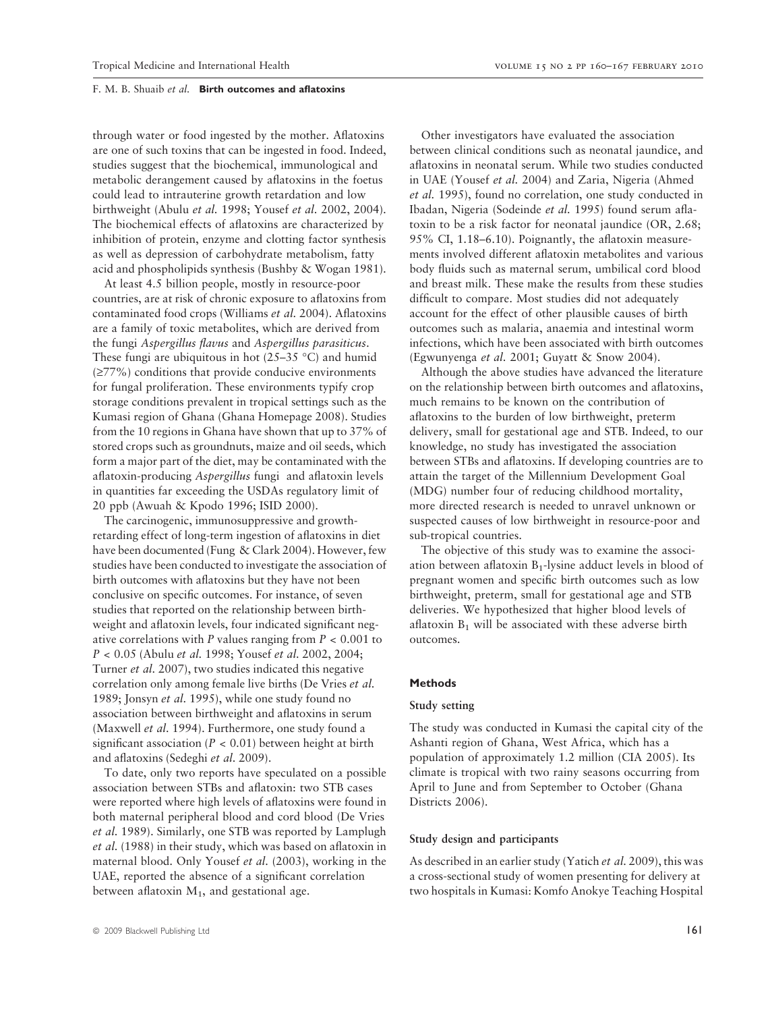through water or food ingested by the mother. Aflatoxins are one of such toxins that can be ingested in food. Indeed, studies suggest that the biochemical, immunological and metabolic derangement caused by aflatoxins in the foetus could lead to intrauterine growth retardation and low birthweight (Abulu et al. 1998; Yousef et al. 2002, 2004). The biochemical effects of aflatoxins are characterized by inhibition of protein, enzyme and clotting factor synthesis as well as depression of carbohydrate metabolism, fatty acid and phospholipids synthesis (Bushby & Wogan 1981).

At least 4.5 billion people, mostly in resource-poor countries, are at risk of chronic exposure to aflatoxins from contaminated food crops (Williams et al. 2004). Aflatoxins are a family of toxic metabolites, which are derived from the fungi Aspergillus flavus and Aspergillus parasiticus. These fungi are ubiquitous in hot (25–35 °C) and humid  $(\geq 77\%)$  conditions that provide conducive environments for fungal proliferation. These environments typify crop storage conditions prevalent in tropical settings such as the Kumasi region of Ghana (Ghana Homepage 2008). Studies from the 10 regions in Ghana have shown that up to 37% of stored crops such as groundnuts, maize and oil seeds, which form a major part of the diet, may be contaminated with the aflatoxin-producing Aspergillus fungi and aflatoxin levels in quantities far exceeding the USDAs regulatory limit of 20 ppb (Awuah & Kpodo 1996; ISID 2000).

The carcinogenic, immunosuppressive and growthretarding effect of long-term ingestion of aflatoxins in diet have been documented (Fung & Clark 2004). However, few studies have been conducted to investigate the association of birth outcomes with aflatoxins but they have not been conclusive on specific outcomes. For instance, of seven studies that reported on the relationship between birthweight and aflatoxin levels, four indicated significant negative correlations with P values ranging from  $P < 0.001$  to P < 0.05 (Abulu et al. 1998; Yousef et al. 2002, 2004; Turner et al. 2007), two studies indicated this negative correlation only among female live births (De Vries et al. 1989; Jonsyn et al. 1995), while one study found no association between birthweight and aflatoxins in serum (Maxwell et al. 1994). Furthermore, one study found a significant association ( $P < 0.01$ ) between height at birth and aflatoxins (Sedeghi et al. 2009).

To date, only two reports have speculated on a possible association between STBs and aflatoxin: two STB cases were reported where high levels of aflatoxins were found in both maternal peripheral blood and cord blood (De Vries et al. 1989). Similarly, one STB was reported by Lamplugh et al. (1988) in their study, which was based on aflatoxin in maternal blood. Only Yousef et al. (2003), working in the UAE, reported the absence of a significant correlation between aflatoxin  $M_1$ , and gestational age.

Other investigators have evaluated the association between clinical conditions such as neonatal jaundice, and aflatoxins in neonatal serum. While two studies conducted in UAE (Yousef et al. 2004) and Zaria, Nigeria (Ahmed et al. 1995), found no correlation, one study conducted in Ibadan, Nigeria (Sodeinde et al. 1995) found serum aflatoxin to be a risk factor for neonatal jaundice (OR, 2.68; 95% CI, 1.18–6.10). Poignantly, the aflatoxin measurements involved different aflatoxin metabolites and various body fluids such as maternal serum, umbilical cord blood and breast milk. These make the results from these studies difficult to compare. Most studies did not adequately account for the effect of other plausible causes of birth outcomes such as malaria, anaemia and intestinal worm infections, which have been associated with birth outcomes (Egwunyenga et al. 2001; Guyatt & Snow 2004).

Although the above studies have advanced the literature on the relationship between birth outcomes and aflatoxins, much remains to be known on the contribution of aflatoxins to the burden of low birthweight, preterm delivery, small for gestational age and STB. Indeed, to our knowledge, no study has investigated the association between STBs and aflatoxins. If developing countries are to attain the target of the Millennium Development Goal (MDG) number four of reducing childhood mortality, more directed research is needed to unravel unknown or suspected causes of low birthweight in resource-poor and sub-tropical countries.

The objective of this study was to examine the association between aflatoxin  $B_1$ -lysine adduct levels in blood of pregnant women and specific birth outcomes such as low birthweight, preterm, small for gestational age and STB deliveries. We hypothesized that higher blood levels of aflatoxin  $B_1$  will be associated with these adverse birth outcomes.

#### Methods

# Study setting

The study was conducted in Kumasi the capital city of the Ashanti region of Ghana, West Africa, which has a population of approximately 1.2 million (CIA 2005). Its climate is tropical with two rainy seasons occurring from April to June and from September to October (Ghana Districts 2006).

#### Study design and participants

As described in an earlier study (Yatich et al. 2009), this was a cross-sectional study of women presenting for delivery at two hospitals in Kumasi: Komfo Anokye Teaching Hospital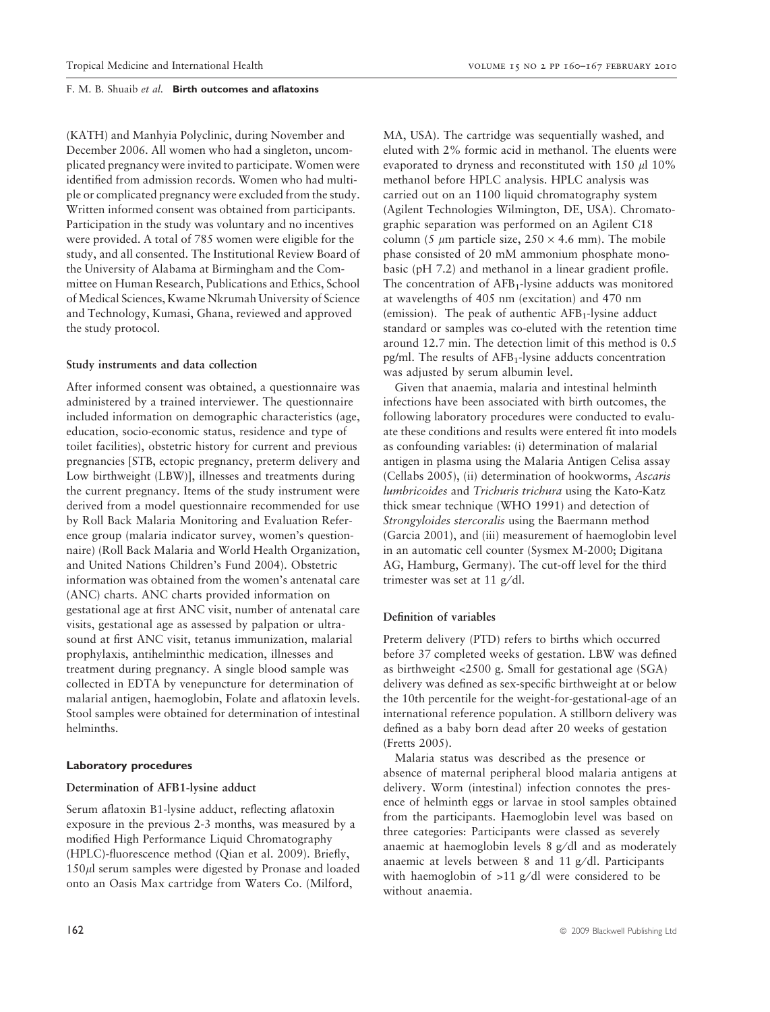(KATH) and Manhyia Polyclinic, during November and December 2006. All women who had a singleton, uncomplicated pregnancy were invited to participate. Women were identified from admission records. Women who had multiple or complicated pregnancy were excluded from the study. Written informed consent was obtained from participants. Participation in the study was voluntary and no incentives were provided. A total of 785 women were eligible for the study, and all consented. The Institutional Review Board of the University of Alabama at Birmingham and the Committee on Human Research, Publications and Ethics, School of Medical Sciences, Kwame Nkrumah University of Science and Technology, Kumasi, Ghana, reviewed and approved the study protocol.

## Study instruments and data collection

After informed consent was obtained, a questionnaire was administered by a trained interviewer. The questionnaire included information on demographic characteristics (age, education, socio-economic status, residence and type of toilet facilities), obstetric history for current and previous pregnancies [STB, ectopic pregnancy, preterm delivery and Low birthweight (LBW)], illnesses and treatments during the current pregnancy. Items of the study instrument were derived from a model questionnaire recommended for use by Roll Back Malaria Monitoring and Evaluation Reference group (malaria indicator survey, women's questionnaire) (Roll Back Malaria and World Health Organization, and United Nations Children's Fund 2004). Obstetric information was obtained from the women's antenatal care (ANC) charts. ANC charts provided information on gestational age at first ANC visit, number of antenatal care visits, gestational age as assessed by palpation or ultrasound at first ANC visit, tetanus immunization, malarial prophylaxis, antihelminthic medication, illnesses and treatment during pregnancy. A single blood sample was collected in EDTA by venepuncture for determination of malarial antigen, haemoglobin, Folate and aflatoxin levels. Stool samples were obtained for determination of intestinal helminths.

#### Laboratory procedures

# Determination of AFB1-lysine adduct

Serum aflatoxin B1-lysine adduct, reflecting aflatoxin exposure in the previous 2-3 months, was measured by a modified High Performance Liquid Chromatography (HPLC)-fluorescence method (Qian et al. 2009). Briefly,  $150\mu$ l serum samples were digested by Pronase and loaded onto an Oasis Max cartridge from Waters Co. (Milford,

MA, USA). The cartridge was sequentially washed, and eluted with 2% formic acid in methanol. The eluents were evaporated to dryness and reconstituted with  $150 \mu$ l  $10\%$ methanol before HPLC analysis. HPLC analysis was carried out on an 1100 liquid chromatography system (Agilent Technologies Wilmington, DE, USA). Chromatographic separation was performed on an Agilent C18 column (5  $\mu$ m particle size, 250  $\times$  4.6 mm). The mobile phase consisted of 20 mM ammonium phosphate monobasic (pH 7.2) and methanol in a linear gradient profile. The concentration of  $AFB<sub>1</sub>$ -lysine adducts was monitored at wavelengths of 405 nm (excitation) and 470 nm (emission). The peak of authentic  $AFB<sub>1</sub>$ -lysine adduct standard or samples was co-eluted with the retention time around 12.7 min. The detection limit of this method is 0.5 pg/ml. The results of AFB1-lysine adducts concentration was adjusted by serum albumin level.

Given that anaemia, malaria and intestinal helminth infections have been associated with birth outcomes, the following laboratory procedures were conducted to evaluate these conditions and results were entered fit into models as confounding variables: (i) determination of malarial antigen in plasma using the Malaria Antigen Celisa assay (Cellabs 2005), (ii) determination of hookworms, Ascaris lumbricoides and Trichuris trichura using the Kato-Katz thick smear technique (WHO 1991) and detection of Strongyloides stercoralis using the Baermann method (Garcia 2001), and (iii) measurement of haemoglobin level in an automatic cell counter (Sysmex M-2000; Digitana AG, Hamburg, Germany). The cut-off level for the third trimester was set at 11  $g/dl$ .

## Definition of variables

Preterm delivery (PTD) refers to births which occurred before 37 completed weeks of gestation. LBW was defined as birthweight <2500 g. Small for gestational age (SGA) delivery was defined as sex-specific birthweight at or below the 10th percentile for the weight-for-gestational-age of an international reference population. A stillborn delivery was defined as a baby born dead after 20 weeks of gestation (Fretts 2005).

Malaria status was described as the presence or absence of maternal peripheral blood malaria antigens at delivery. Worm (intestinal) infection connotes the presence of helminth eggs or larvae in stool samples obtained from the participants. Haemoglobin level was based on three categories: Participants were classed as severely anaemic at haemoglobin levels  $8$  g/dl and as moderately anaemic at levels between 8 and 11  $g/dl$ . Participants with haemoglobin of  $>11$  g/dl were considered to be without anaemia.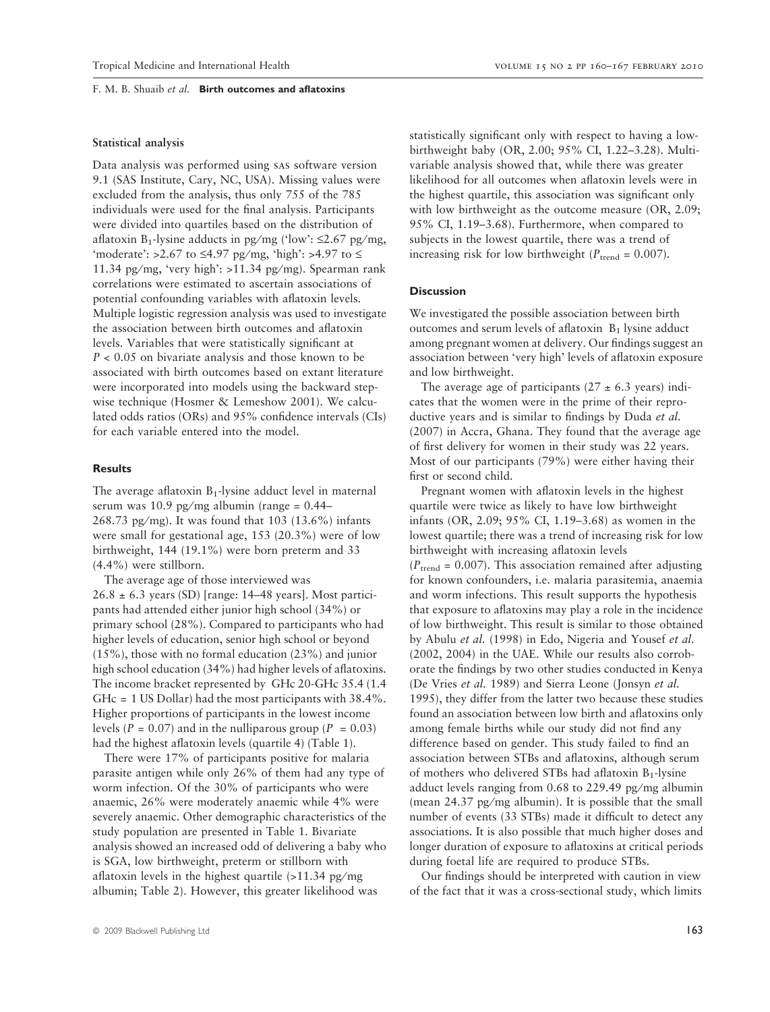# Statistical analysis

Data analysis was performed using sas software version 9.1 (SAS Institute, Cary, NC, USA). Missing values were excluded from the analysis, thus only 755 of the 785 individuals were used for the final analysis. Participants were divided into quartiles based on the distribution of aflatoxin B<sub>1</sub>-lysine adducts in pg/mg ('low':  $\leq$ 2.67 pg/mg, 'moderate':  $>2.67$  to  $\leq$ 4.97 pg/mg, 'high':  $>4.97$  to  $\leq$ 11.34 pg/mg, 'very high':  $>11.34$  pg/mg). Spearman rank correlations were estimated to ascertain associations of potential confounding variables with aflatoxin levels. Multiple logistic regression analysis was used to investigate the association between birth outcomes and aflatoxin levels. Variables that were statistically significant at  $P < 0.05$  on bivariate analysis and those known to be associated with birth outcomes based on extant literature were incorporated into models using the backward stepwise technique (Hosmer & Lemeshow 2001). We calculated odds ratios (ORs) and 95% confidence intervals (CIs) for each variable entered into the model.

# Results

The average aflatoxin  $B_1$ -lysine adduct level in maternal serum was 10.9 pg/mg albumin (range =  $0.44-$ 268.73 pg/mg). It was found that  $103$  ( $13.6\%$ ) infants were small for gestational age, 153 (20.3%) were of low birthweight, 144 (19.1%) were born preterm and 33 (4.4%) were stillborn.

The average age of those interviewed was  $26.8 \pm 6.3$  years (SD) [range: 14–48 years]. Most participants had attended either junior high school (34%) or primary school (28%). Compared to participants who had higher levels of education, senior high school or beyond (15%), those with no formal education (23%) and junior high school education (34%) had higher levels of aflatoxins. The income bracket represented by GHc 20-GHc 35.4 (1.4 GHc = 1 US Dollar) had the most participants with 38.4%. Higher proportions of participants in the lowest income levels ( $P = 0.07$ ) and in the nulliparous group ( $P = 0.03$ ) had the highest aflatoxin levels (quartile 4) (Table 1).

There were 17% of participants positive for malaria parasite antigen while only 26% of them had any type of worm infection. Of the 30% of participants who were anaemic, 26% were moderately anaemic while 4% were severely anaemic. Other demographic characteristics of the study population are presented in Table 1. Bivariate analysis showed an increased odd of delivering a baby who is SGA, low birthweight, preterm or stillborn with aflatoxin levels in the highest quartile  $(>11.34 \text{ pg/mg})$ albumin; Table 2). However, this greater likelihood was

statistically significant only with respect to having a lowbirthweight baby (OR, 2.00; 95% CI, 1.22–3.28). Multivariable analysis showed that, while there was greater likelihood for all outcomes when aflatoxin levels were in the highest quartile, this association was significant only with low birthweight as the outcome measure (OR, 2.09; 95% CI, 1.19–3.68). Furthermore, when compared to subjects in the lowest quartile, there was a trend of increasing risk for low birthweight ( $P_{\text{trend}} = 0.007$ ).

# **Discussion**

We investigated the possible association between birth outcomes and serum levels of aflatoxin  $B_1$  lysine adduct among pregnant women at delivery. Our findings suggest an association between 'very high' levels of aflatoxin exposure and low birthweight.

The average age of participants  $(27 \pm 6.3 \text{ years})$  indicates that the women were in the prime of their reproductive years and is similar to findings by Duda *et al.* (2007) in Accra, Ghana. They found that the average age of first delivery for women in their study was 22 years. Most of our participants (79%) were either having their first or second child.

Pregnant women with aflatoxin levels in the highest quartile were twice as likely to have low birthweight infants (OR, 2.09; 95% CI, 1.19–3.68) as women in the lowest quartile; there was a trend of increasing risk for low birthweight with increasing aflatoxin levels  $(P_{\text{trend}} = 0.007)$ . This association remained after adjusting for known confounders, i.e. malaria parasitemia, anaemia and worm infections. This result supports the hypothesis that exposure to aflatoxins may play a role in the incidence of low birthweight. This result is similar to those obtained by Abulu et al. (1998) in Edo, Nigeria and Yousef et al. (2002, 2004) in the UAE. While our results also corroborate the findings by two other studies conducted in Kenya (De Vries et al. 1989) and Sierra Leone (Jonsyn et al. 1995), they differ from the latter two because these studies found an association between low birth and aflatoxins only among female births while our study did not find any difference based on gender. This study failed to find an association between STBs and aflatoxins, although serum of mothers who delivered STBs had aflatoxin B1-lysine adduct levels ranging from  $0.68$  to  $229.49$  pg/mg albumin (mean  $24.37$  pg/mg albumin). It is possible that the small number of events (33 STBs) made it difficult to detect any associations. It is also possible that much higher doses and longer duration of exposure to aflatoxins at critical periods during foetal life are required to produce STBs.

Our findings should be interpreted with caution in view of the fact that it was a cross-sectional study, which limits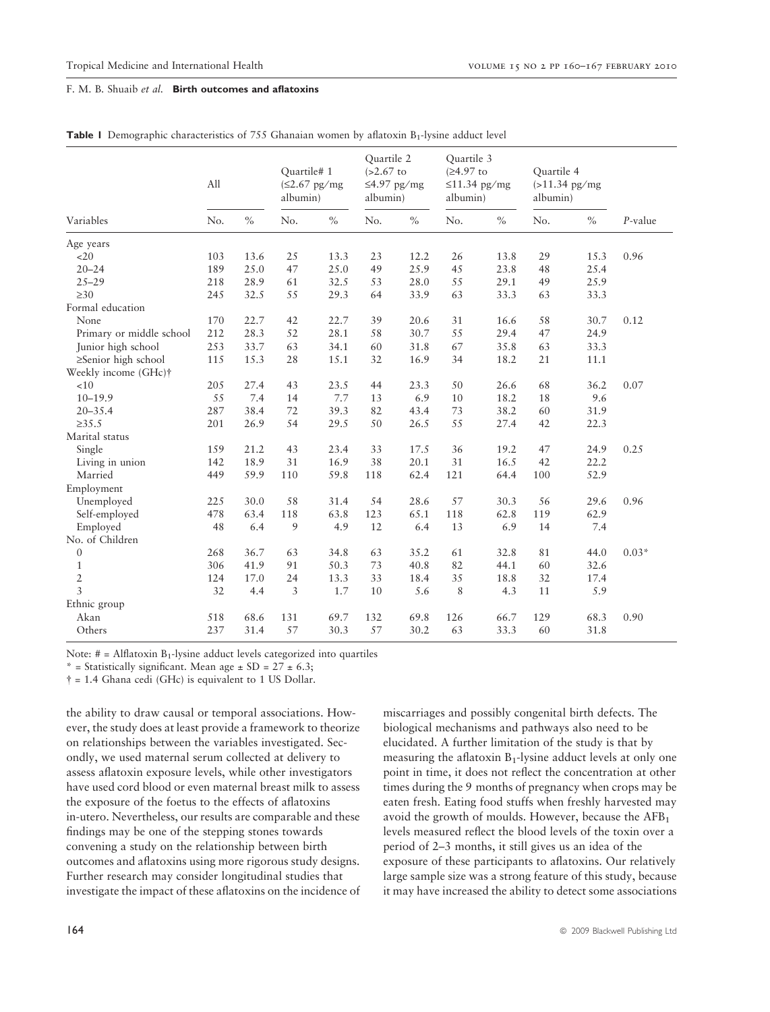|  |  | Table I Demographic characteristics of 755 Ghanaian women by aflatoxin B <sub>1</sub> -lysine adduct level |  |  |  |  |  |  |  |
|--|--|------------------------------------------------------------------------------------------------------------|--|--|--|--|--|--|--|
|--|--|------------------------------------------------------------------------------------------------------------|--|--|--|--|--|--|--|

|                          | All |      | Quartile# 1<br>$(\leq2.67 \text{ pg/mg})$<br>albumin) |      | Quartile 2<br>$(>2.67)$ to<br>$\leq$ 4.97 pg/mg<br>albumin) |      | Quartile 3<br>$(≥4.97$ to<br>$\leq$ 11.34 pg/mg<br>albumin) |      | Quartile 4<br>$(>11.34$ pg/mg<br>albumin) |               |            |
|--------------------------|-----|------|-------------------------------------------------------|------|-------------------------------------------------------------|------|-------------------------------------------------------------|------|-------------------------------------------|---------------|------------|
| Variables                | No. | $\%$ | No.                                                   | $\%$ | No.                                                         | $\%$ | No.                                                         | $\%$ | No.                                       | $\frac{0}{0}$ | $P$ -value |
| Age years                |     |      |                                                       |      |                                                             |      |                                                             |      |                                           |               |            |
| <20                      | 103 | 13.6 | 25                                                    | 13.3 | 23                                                          | 12.2 | 26                                                          | 13.8 | 29                                        | 15.3          | 0.96       |
| $20 - 24$                | 189 | 25.0 | 47                                                    | 25.0 | 49                                                          | 25.9 | 45                                                          | 23.8 | 48                                        | 25.4          |            |
| $25 - 29$                | 218 | 28.9 | 61                                                    | 32.5 | 53                                                          | 28.0 | 55                                                          | 29.1 | 49                                        | 25.9          |            |
| $\geq 30$                | 245 | 32.5 | 55                                                    | 29.3 | 64                                                          | 33.9 | 63                                                          | 33.3 | 63                                        | 33.3          |            |
| Formal education         |     |      |                                                       |      |                                                             |      |                                                             |      |                                           |               |            |
| None                     | 170 | 22.7 | 42                                                    | 22.7 | 39                                                          | 20.6 | 31                                                          | 16.6 | 58                                        | 30.7          | 0.12       |
| Primary or middle school | 212 | 28.3 | 52                                                    | 28.1 | 58                                                          | 30.7 | 55                                                          | 29.4 | 47                                        | 24.9          |            |
| Junior high school       | 253 | 33.7 | 63                                                    | 34.1 | 60                                                          | 31.8 | 67                                                          | 35.8 | 63                                        | 33.3          |            |
| ≥Senior high school      | 115 | 15.3 | 28                                                    | 15.1 | 32                                                          | 16.9 | 34                                                          | 18.2 | 21                                        | 11.1          |            |
| Weekly income (GHc)†     |     |      |                                                       |      |                                                             |      |                                                             |      |                                           |               |            |
| <10                      | 205 | 27.4 | 43                                                    | 23.5 | 44                                                          | 23.3 | 50                                                          | 26.6 | 68                                        | 36.2          | 0.07       |
| $10 - 19.9$              | 55  | 7.4  | 14                                                    | 7.7  | 13                                                          | 6.9  | 10                                                          | 18.2 | 18                                        | 9.6           |            |
| $20 - 35.4$              | 287 | 38.4 | 72                                                    | 39.3 | 82                                                          | 43.4 | 73                                                          | 38.2 | 60                                        | 31.9          |            |
| $\geq 35.5$              | 201 | 26.9 | 54                                                    | 29.5 | 50                                                          | 26.5 | 55                                                          | 27.4 | 42                                        | 22.3          |            |
| Marital status           |     |      |                                                       |      |                                                             |      |                                                             |      |                                           |               |            |
| Single                   | 159 | 21.2 | 43                                                    | 23.4 | 33                                                          | 17.5 | 36                                                          | 19.2 | 47                                        | 24.9          | 0.25       |
| Living in union          | 142 | 18.9 | 31                                                    | 16.9 | 38                                                          | 20.1 | 31                                                          | 16.5 | 42                                        | 22.2          |            |
| Married                  | 449 | 59.9 | 110                                                   | 59.8 | 118                                                         | 62.4 | 121                                                         | 64.4 | 100                                       | 52.9          |            |
| Employment               |     |      |                                                       |      |                                                             |      |                                                             |      |                                           |               |            |
| Unemployed               | 225 | 30.0 | 58                                                    | 31.4 | 54                                                          | 28.6 | 57                                                          | 30.3 | 56                                        | 29.6          | 0.96       |
| Self-employed            | 478 | 63.4 | 118                                                   | 63.8 | 123                                                         | 65.1 | 118                                                         | 62.8 | 119                                       | 62.9          |            |
| Employed                 | 48  | 6.4  | 9                                                     | 4.9  | 12                                                          | 6.4  | 13                                                          | 6.9  | 14                                        | 7.4           |            |
| No. of Children          |     |      |                                                       |      |                                                             |      |                                                             |      |                                           |               |            |
| $\boldsymbol{0}$         | 268 | 36.7 | 63                                                    | 34.8 | 63                                                          | 35.2 | 61                                                          | 32.8 | $8\sqrt{1}$                               | 44.0          | $0.03*$    |
| $\mathbf{1}$             | 306 | 41.9 | 91                                                    | 50.3 | 73                                                          | 40.8 | 82                                                          | 44.1 | 60                                        | 32.6          |            |
| $\overline{2}$           | 124 | 17.0 | 24                                                    | 13.3 | 33                                                          | 18.4 | 35                                                          | 18.8 | 32                                        | 17.4          |            |
| 3                        | 32  | 4.4  | 3                                                     | 1.7  | 10                                                          | 5.6  | 8                                                           | 4.3  | 11                                        | 5.9           |            |
| Ethnic group             |     |      |                                                       |      |                                                             |      |                                                             |      |                                           |               |            |
| Akan                     | 518 | 68.6 | 131                                                   | 69.7 | 132                                                         | 69.8 | 126                                                         | 66.7 | 129                                       | 68.3          | 0.90       |
| Others                   | 237 | 31.4 | 57                                                    | 30.3 | 57                                                          | 30.2 | 63                                                          | 33.3 | 60                                        | 31.8          |            |

Note:  $# =$  Alflatoxin  $B_1$ -lysine adduct levels categorized into quartiles

\* = Statistically significant. Mean age  $\pm$  SD = 27  $\pm$  6.3;

- = 1.4 Ghana cedi (GHc) is equivalent to 1 US Dollar.

the ability to draw causal or temporal associations. However, the study does at least provide a framework to theorize on relationships between the variables investigated. Secondly, we used maternal serum collected at delivery to assess aflatoxin exposure levels, while other investigators have used cord blood or even maternal breast milk to assess the exposure of the foetus to the effects of aflatoxins in-utero. Nevertheless, our results are comparable and these findings may be one of the stepping stones towards convening a study on the relationship between birth outcomes and aflatoxins using more rigorous study designs. Further research may consider longitudinal studies that investigate the impact of these aflatoxins on the incidence of

miscarriages and possibly congenital birth defects. The biological mechanisms and pathways also need to be elucidated. A further limitation of the study is that by measuring the aflatoxin  $B_1$ -lysine adduct levels at only one point in time, it does not reflect the concentration at other times during the 9 months of pregnancy when crops may be eaten fresh. Eating food stuffs when freshly harvested may avoid the growth of moulds. However, because the  $AFB<sub>1</sub>$ levels measured reflect the blood levels of the toxin over a period of 2–3 months, it still gives us an idea of the exposure of these participants to aflatoxins. Our relatively large sample size was a strong feature of this study, because it may have increased the ability to detect some associations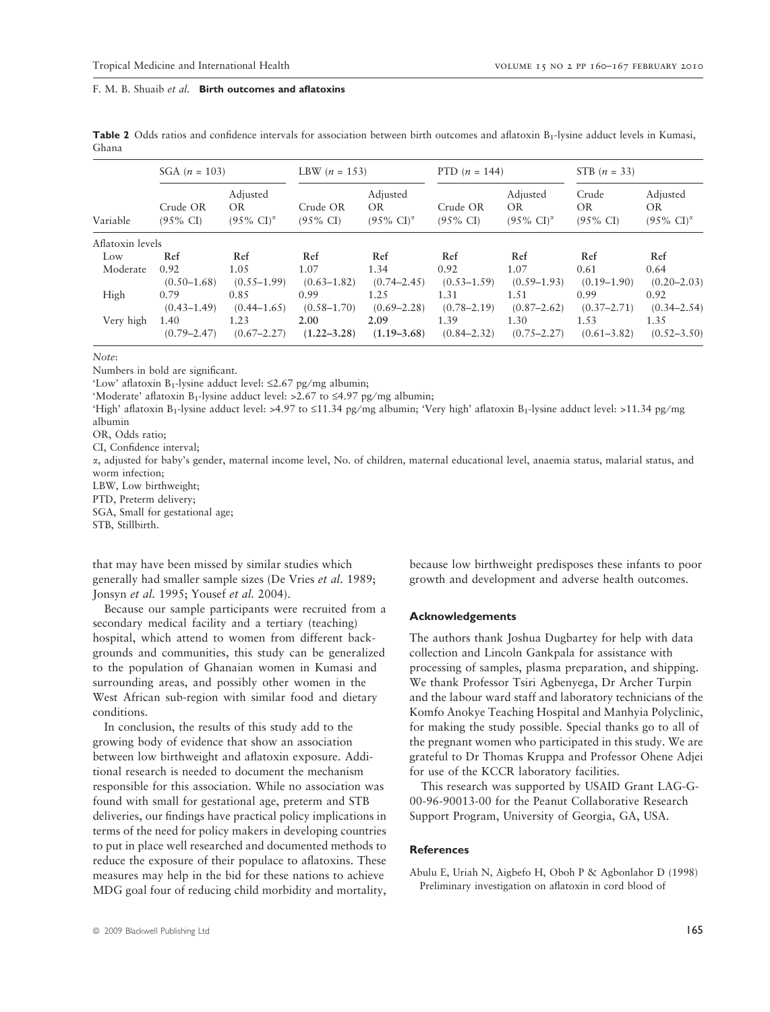|                  | SGA $(n = 103)$                 |                                                       | LBW $(n = 153)$                 |                                                       | PTD $(n = 144)$                 |                                                 | STB $(n = 33)$                      |                                                 |  |
|------------------|---------------------------------|-------------------------------------------------------|---------------------------------|-------------------------------------------------------|---------------------------------|-------------------------------------------------|-------------------------------------|-------------------------------------------------|--|
| Variable         | Crude OR<br>$(95\% \text{ CI})$ | Adjusted<br><b>OR</b><br>$(95\% \text{ CI})^{\alpha}$ | Crude OR<br>$(95\% \text{ CI})$ | Adjusted<br><b>OR</b><br>$(95\% \text{ CI})^{\alpha}$ | Crude OR<br>$(95\% \text{ CI})$ | Adjusted<br>OR.<br>$(95\% \text{ CI})^{\alpha}$ | Crude<br>OR.<br>$(95\% \text{ CI})$ | Adjusted<br>OR.<br>$(95\% \text{ CI})^{\alpha}$ |  |
| Aflatoxin levels |                                 |                                                       |                                 |                                                       |                                 |                                                 |                                     |                                                 |  |
| Low              | Ref                             | Ref                                                   | Ref                             | Ref                                                   | Ref                             | Ref                                             | Ref                                 | Ref                                             |  |
| Moderate         | 0.92<br>$(0.50 - 1.68)$         | 1.05<br>$(0.55 - 1.99)$                               | 1.07<br>$(0.63 - 1.82)$         | 1.34<br>$(0.74 - 2.45)$                               | 0.92<br>$(0.53 - 1.59)$         | 1.07<br>$(0.59 - 1.93)$                         | 0.61<br>$(0.19 - 1.90)$             | 0.64<br>$(0.20 - 2.03)$                         |  |
| High             | 0.79<br>$(0.43 - 1.49)$         | 0.85<br>$(0.44 - 1.65)$                               | 0.99<br>$(0.58 - 1.70)$         | 1.25<br>$(0.69 - 2.28)$                               | 1.31<br>$(0.78 - 2.19)$         | 1.51<br>$(0.87 - 2.62)$                         | 0.99<br>$(0.37 - 2.71)$             | 0.92<br>$(0.34 - 2.54)$                         |  |
| Very high        | 1.40<br>$(0.79 - 2.47)$         | 1.23<br>$(0.67 - 2.27)$                               | 2.00<br>$(1.22 - 3.28)$         | 2.09<br>$(1.19 - 3.68)$                               | 1.39<br>$(0.84 - 2.32)$         | 1.30<br>$(0.75 - 2.27)$                         | 1.53<br>$(0.61 - 3.82)$             | 1.35<br>$(0.52 - 3.50)$                         |  |

Table 2 Odds ratios and confidence intervals for association between birth outcomes and aflatoxin B<sub>1</sub>-lysine adduct levels in Kumasi, Ghana

Note:

Numbers in bold are significant.

'Low' aflatoxin B<sub>1</sub>-lysine adduct level:  $\leq$ 2.67 pg/mg albumin;

'Moderate' aflatoxin B<sub>1</sub>-lysine adduct level: >2.67 to  $\leq$ 4.97 pg/mg albumin;

'High' aflatoxin B<sub>1</sub>-lysine adduct level: >4.97 to ≤11.34 pg/mg albumin; 'Very high' aflatoxin B<sub>1</sub>-lysine adduct level: >11.34 pg/mg albumin

OR, Odds ratio;

CI, Confidence interval;

a, adjusted for baby's gender, maternal income level, No. of children, maternal educational level, anaemia status, malarial status, and worm infection;

LBW, Low birthweight;

PTD, Preterm delivery;

SGA, Small for gestational age;

STB, Stillbirth.

that may have been missed by similar studies which generally had smaller sample sizes (De Vries et al. 1989; Jonsyn et al. 1995; Yousef et al. 2004).

Because our sample participants were recruited from a secondary medical facility and a tertiary (teaching) hospital, which attend to women from different backgrounds and communities, this study can be generalized to the population of Ghanaian women in Kumasi and surrounding areas, and possibly other women in the West African sub-region with similar food and dietary conditions.

In conclusion, the results of this study add to the growing body of evidence that show an association between low birthweight and aflatoxin exposure. Additional research is needed to document the mechanism responsible for this association. While no association was found with small for gestational age, preterm and STB deliveries, our findings have practical policy implications in terms of the need for policy makers in developing countries to put in place well researched and documented methods to reduce the exposure of their populace to aflatoxins. These measures may help in the bid for these nations to achieve MDG goal four of reducing child morbidity and mortality,

because low birthweight predisposes these infants to poor growth and development and adverse health outcomes.

#### Acknowledgements

The authors thank Joshua Dugbartey for help with data collection and Lincoln Gankpala for assistance with processing of samples, plasma preparation, and shipping. We thank Professor Tsiri Agbenyega, Dr Archer Turpin and the labour ward staff and laboratory technicians of the Komfo Anokye Teaching Hospital and Manhyia Polyclinic, for making the study possible. Special thanks go to all of the pregnant women who participated in this study. We are grateful to Dr Thomas Kruppa and Professor Ohene Adjei for use of the KCCR laboratory facilities.

This research was supported by USAID Grant LAG-G-00-96-90013-00 for the Peanut Collaborative Research Support Program, University of Georgia, GA, USA.

## **References**

Abulu E, Uriah N, Aigbefo H, Oboh P & Agbonlahor D (1998) Preliminary investigation on aflatoxin in cord blood of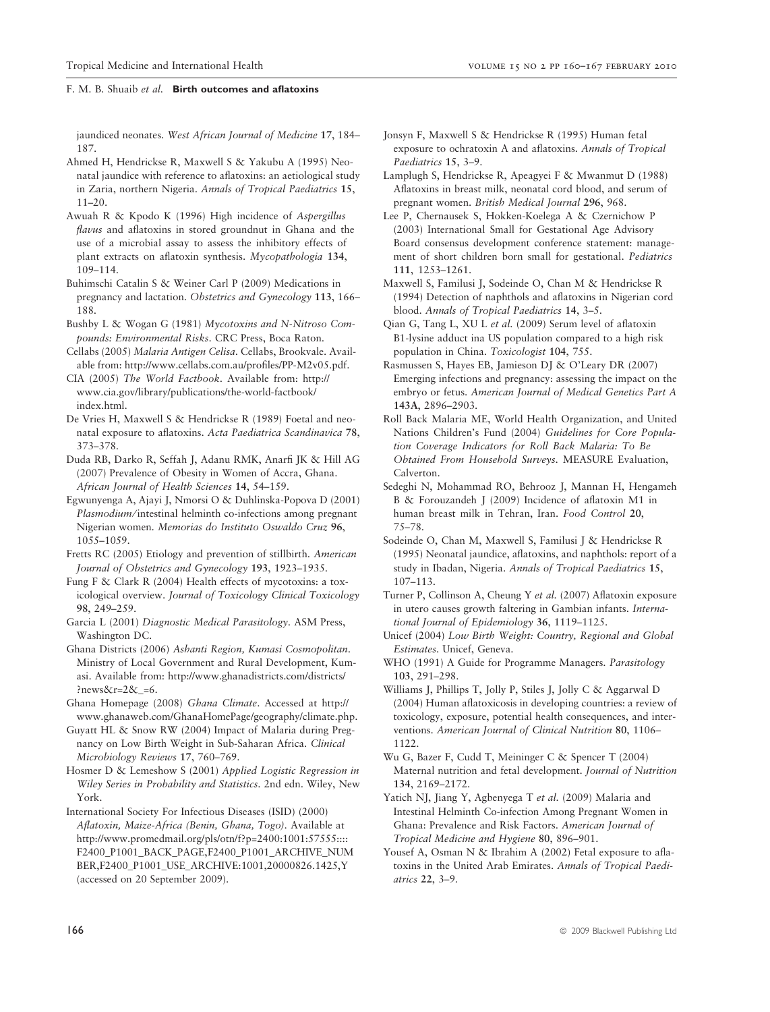jaundiced neonates. West African Journal of Medicine 17, 184– 187.

- Ahmed H, Hendrickse R, Maxwell S & Yakubu A (1995) Neonatal jaundice with reference to aflatoxins: an aetiological study in Zaria, northern Nigeria. Annals of Tropical Paediatrics 15, 11–20.
- Awuah R & Kpodo K (1996) High incidence of Aspergillus flavus and aflatoxins in stored groundnut in Ghana and the use of a microbial assay to assess the inhibitory effects of plant extracts on aflatoxin synthesis. Mycopathologia 134, 109–114.
- Buhimschi Catalin S & Weiner Carl P (2009) Medications in pregnancy and lactation. Obstetrics and Gynecology 113, 166– 188.
- Bushby L & Wogan G (1981) Mycotoxins and N-Nitroso Compounds: Environmental Risks. CRC Press, Boca Raton.
- Cellabs (2005) Malaria Antigen Celisa. Cellabs, Brookvale. Available from: http://www.cellabs.com.au/profiles/PP-M2v05.pdf.
- CIA (2005) The World Factbook. Available from: http:// www.cia.gov/library/publications/the-world-factbook/ index.html.
- De Vries H, Maxwell S & Hendrickse R (1989) Foetal and neonatal exposure to aflatoxins. Acta Paediatrica Scandinavica 78, 373–378.
- Duda RB, Darko R, Seffah J, Adanu RMK, Anarfi JK & Hill AG (2007) Prevalence of Obesity in Women of Accra, Ghana. African Journal of Health Sciences 14, 54–159.
- Egwunyenga A, Ajayi J, Nmorsi O & Duhlinska-Popova D (2001) Plasmodium/intestinal helminth co-infections among pregnant Nigerian women. Memorias do Instituto Oswaldo Cruz 96, 1055–1059.
- Fretts RC (2005) Etiology and prevention of stillbirth. American Journal of Obstetrics and Gynecology 193, 1923–1935.
- Fung F & Clark R (2004) Health effects of mycotoxins: a toxicological overview. Journal of Toxicology Clinical Toxicology 98, 249–259.
- Garcia L (2001) Diagnostic Medical Parasitology. ASM Press, Washington DC.
- Ghana Districts (2006) Ashanti Region, Kumasi Cosmopolitan. Ministry of Local Government and Rural Development, Kumasi. Available from: http://www.ghanadistricts.com/districts/ ?news&r=2&\_=6.
- Ghana Homepage (2008) Ghana Climate. Accessed at http:// www.ghanaweb.com/GhanaHomePage/geography/climate.php.
- Guyatt HL & Snow RW (2004) Impact of Malaria during Pregnancy on Low Birth Weight in Sub-Saharan Africa. Clinical Microbiology Reviews 17, 760–769.
- Hosmer D & Lemeshow S (2001) Applied Logistic Regression in Wiley Series in Probability and Statistics. 2nd edn. Wiley, New York.
- International Society For Infectious Diseases (ISID) (2000) Aflatoxin, Maize-Africa (Benin, Ghana, Togo). Available at http://www.promedmail.org/pls/otn/f?p=2400:1001:57555:::: F2400\_P1001\_BACK\_PAGE,F2400\_P1001\_ARCHIVE\_NUM BER,F2400\_P1001\_USE\_ARCHIVE:1001,20000826.1425,Y (accessed on 20 September 2009).
- Jonsyn F, Maxwell S & Hendrickse R (1995) Human fetal exposure to ochratoxin A and aflatoxins. Annals of Tropical
- Paediatrics 15, 3–9. Lamplugh S, Hendrickse R, Apeagyei F & Mwanmut D (1988) Aflatoxins in breast milk, neonatal cord blood, and serum of pregnant women. British Medical Journal 296, 968.
- Lee P, Chernausek S, Hokken-Koelega A & Czernichow P (2003) International Small for Gestational Age Advisory Board consensus development conference statement: management of short children born small for gestational. Pediatrics 111, 1253–1261.
- Maxwell S, Familusi J, Sodeinde O, Chan M & Hendrickse R (1994) Detection of naphthols and aflatoxins in Nigerian cord blood. Annals of Tropical Paediatrics 14, 3–5.
- Qian G, Tang L, XU L et al. (2009) Serum level of aflatoxin B1-lysine adduct ina US population compared to a high risk population in China. Toxicologist 104, 755.
- Rasmussen S, Hayes EB, Jamieson DJ & O'Leary DR (2007) Emerging infections and pregnancy: assessing the impact on the embryo or fetus. American Journal of Medical Genetics Part A 143A, 2896–2903.
- Roll Back Malaria ME, World Health Organization, and United Nations Children's Fund (2004) Guidelines for Core Population Coverage Indicators for Roll Back Malaria: To Be Obtained From Household Surveys. MEASURE Evaluation, Calverton.
- Sedeghi N, Mohammad RO, Behrooz J, Mannan H, Hengameh B & Forouzandeh J (2009) Incidence of aflatoxin M1 in human breast milk in Tehran, Iran. Food Control 20, 75–78.
- Sodeinde O, Chan M, Maxwell S, Familusi J & Hendrickse R (1995) Neonatal jaundice, aflatoxins, and naphthols: report of a study in Ibadan, Nigeria. Annals of Tropical Paediatrics 15, 107–113.
- Turner P, Collinson A, Cheung Y et al. (2007) Aflatoxin exposure in utero causes growth faltering in Gambian infants. International Journal of Epidemiology 36, 1119–1125.
- Unicef (2004) Low Birth Weight: Country, Regional and Global Estimates. Unicef, Geneva.
- WHO (1991) A Guide for Programme Managers. Parasitology 103, 291–298.
- Williams J, Phillips T, Jolly P, Stiles J, Jolly C & Aggarwal D (2004) Human aflatoxicosis in developing countries: a review of toxicology, exposure, potential health consequences, and interventions. American Journal of Clinical Nutrition 80, 1106– 1122.
- Wu G, Bazer F, Cudd T, Meininger C & Spencer T (2004) Maternal nutrition and fetal development. Journal of Nutrition 134, 2169–2172.
- Yatich NJ, Jiang Y, Agbenyega T et al. (2009) Malaria and Intestinal Helminth Co-infection Among Pregnant Women in Ghana: Prevalence and Risk Factors. American Journal of Tropical Medicine and Hygiene 80, 896–901.
- Yousef A, Osman N & Ibrahim A (2002) Fetal exposure to aflatoxins in the United Arab Emirates. Annals of Tropical Paediatrics 22, 3–9.